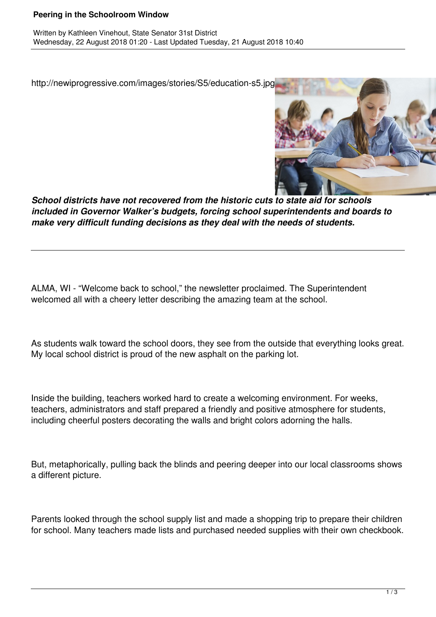## **Peering in the Schoolroom Window**

http://newiprogressive.com/images/stories/S5/education-s5.jpg



*School districts have not recovered from the historic cuts to state aid for schools included in Governor Walker's budgets, forcing school superintendents and boards to make very difficult funding decisions as they deal with the needs of students.*

ALMA, WI - "Welcome back to school," the newsletter proclaimed. The Superintendent welcomed all with a cheery letter describing the amazing team at the school.

As students walk toward the school doors, they see from the outside that everything looks great. My local school district is proud of the new asphalt on the parking lot.

Inside the building, teachers worked hard to create a welcoming environment. For weeks, teachers, administrators and staff prepared a friendly and positive atmosphere for students, including cheerful posters decorating the walls and bright colors adorning the halls.

But, metaphorically, pulling back the blinds and peering deeper into our local classrooms shows a different picture.

Parents looked through the school supply list and made a shopping trip to prepare their children for school. Many teachers made lists and purchased needed supplies with their own checkbook.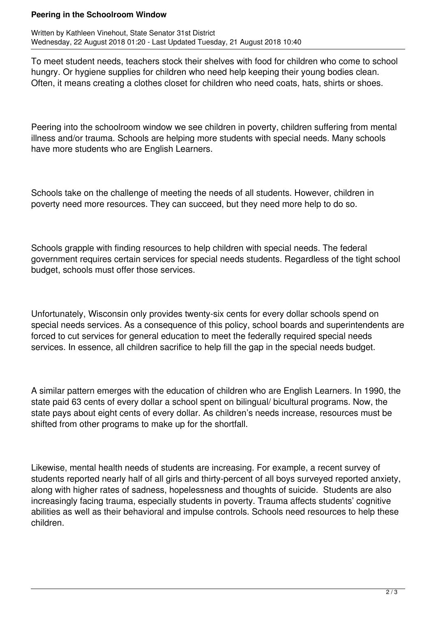## **Peering in the Schoolroom Window**

Written by Kathleen Vinehout, State Senator 31st District Wednesday, 22 August 2018 01:20 - Last Updated Tuesday, 21 August 2018 10:40

To meet student needs, teachers stock their shelves with food for children who come to school hungry. Or hygiene supplies for children who need help keeping their young bodies clean. Often, it means creating a clothes closet for children who need coats, hats, shirts or shoes.

Peering into the schoolroom window we see children in poverty, children suffering from mental illness and/or trauma. Schools are helping more students with special needs. Many schools have more students who are English Learners.

Schools take on the challenge of meeting the needs of all students. However, children in poverty need more resources. They can succeed, but they need more help to do so.

Schools grapple with finding resources to help children with special needs. The federal government requires certain services for special needs students. Regardless of the tight school budget, schools must offer those services.

Unfortunately, Wisconsin only provides twenty-six cents for every dollar schools spend on special needs services. As a consequence of this policy, school boards and superintendents are forced to cut services for general education to meet the federally required special needs services. In essence, all children sacrifice to help fill the gap in the special needs budget.

A similar pattern emerges with the education of children who are English Learners. In 1990, the state paid 63 cents of every dollar a school spent on bilingual/ bicultural programs. Now, the state pays about eight cents of every dollar. As children's needs increase, resources must be shifted from other programs to make up for the shortfall.

Likewise, mental health needs of students are increasing. For example, a recent survey of students reported nearly half of all girls and thirty-percent of all boys surveyed reported anxiety, along with higher rates of sadness, hopelessness and thoughts of suicide. Students are also increasingly facing trauma, especially students in poverty. Trauma affects students' cognitive abilities as well as their behavioral and impulse controls. Schools need resources to help these children.